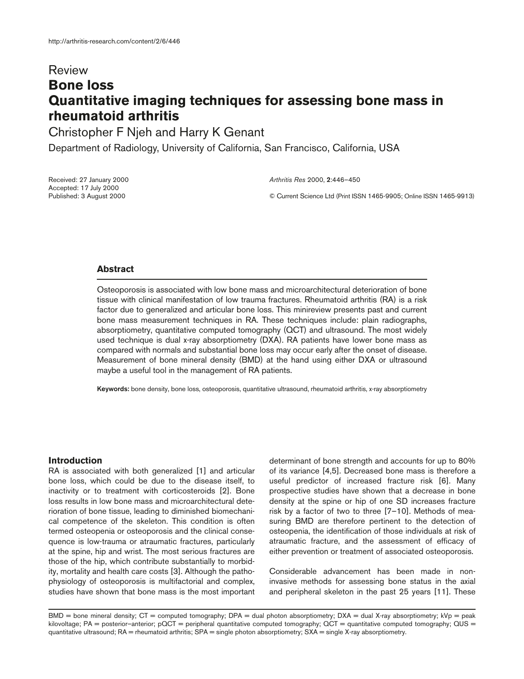# **Review Bone loss Quantitative imaging techniques for assessing bone mass in rheumatoid arthritis**

Christopher F Njeh and Harry K Genant

Department of Radiology, University of California, San Francisco, California, USA

Received: 27 January 2000 Accepted: 17 July 2000 Published: 3 August 2000

*Arthritis Res* 2000, **2**:446–450

© Current Science Ltd (Print ISSN 1465-9905; Online ISSN 1465-9913)

# **Abstract**

Osteoporosis is associated with low bone mass and microarchitectural deterioration of bone tissue with clinical manifestation of low trauma fractures. Rheumatoid arthritis (RA) is a risk factor due to generalized and articular bone loss. This minireview presents past and current bone mass measurement techniques in RA. These techniques include: plain radiographs, absorptiometry, quantitative computed tomography (QCT) and ultrasound. The most widely used technique is dual x-ray absorptiometry (DXA). RA patients have lower bone mass as compared with normals and substantial bone loss may occur early after the onset of disease. Measurement of bone mineral density (BMD) at the hand using either DXA or ultrasound maybe a useful tool in the management of RA patients.

**Keywords:** bone density, bone loss, osteoporosis, quantitative ultrasound, rheumatoid arthritis, x-ray absorptiometry

# **Introduction**

RA is associated with both generalized [1] and articular bone loss, which could be due to the disease itself, to inactivity or to treatment with corticosteroids [2]. Bone loss results in low bone mass and microarchitectural deterioration of bone tissue, leading to diminished biomechanical competence of the skeleton. This condition is often termed osteopenia or osteoporosis and the clinical consequence is low-trauma or atraumatic fractures, particularly at the spine, hip and wrist. The most serious fractures are those of the hip, which contribute substantially to morbidity, mortality and health care costs [3]. Although the pathophysiology of osteoporosis is multifactorial and complex, studies have shown that bone mass is the most important determinant of bone strength and accounts for up to 80% of its variance [4,5]. Decreased bone mass is therefore a useful predictor of increased fracture risk [6]. Many prospective studies have shown that a decrease in bone density at the spine or hip of one SD increases fracture risk by a factor of two to three [7–10]. Methods of measuring BMD are therefore pertinent to the detection of osteopenia, the identification of those individuals at risk of atraumatic fracture, and the assessment of efficacy of either prevention or treatment of associated osteoporosis.

Considerable advancement has been made in noninvasive methods for assessing bone status in the axial and peripheral skeleton in the past 25 years [11]. These

 $BMD =$  bone mineral density;  $CT =$  computed tomography;  $DPA =$  dual photon absorptiometry;  $DX =$  dual X-ray absorptiometry;  $kV =$  peak kilovoltage;  $PA = posterior$ –anterior;  $pQCT =$  peripheral quantitative computed tomography;  $QCT =$  quantitative computed tomography;  $QUS =$ quantitative ultrasound; RA = rheumatoid arthritis; SPA = single photon absorptiometry; SXA = single X-ray absorptiometry.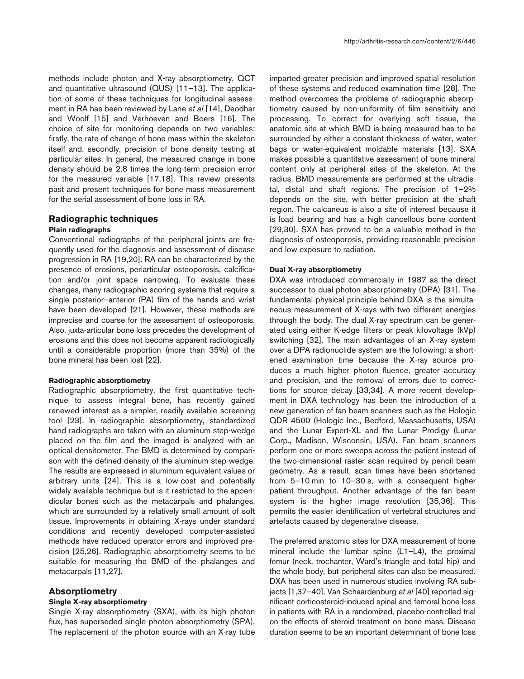methods include photon and X-ray absorptiometry, QCT and quantitative ultrasound (QUS) [11–13]. The application of some of these techniques for longitudinal assessment in RA has been reviewed by Lane *et al* [14], Deodhar and Woolf [15] and Verhoeven and Boers [16]. The choice of site for monitoring depends on two variables: firstly, the rate of change of bone mass within the skeleton itself and, secondly, precision of bone density testing at particular sites. In general, the measured change in bone density should be 2.8 times the long-term precision error for the measured variable [17,18]. This review presents past and present techniques for bone mass measurement for the serial assessment of bone loss in RA.

## **Radiographic techniques**

# **Plain radiographs**

Conventional radiographs of the peripheral joints are frequently used for the diagnosis and assessment of disease progression in RA [19,20]. RA can be characterized by the presence of erosions, periarticular osteoporosis, calcification and/or joint space narrowing. To evaluate these changes, many radiographic scoring systems that require a single posterior–anterior (PA) film of the hands and wrist have been developed [21]. However, these methods are imprecise and coarse for the assessment of osteoporosis. Also, juxta-articular bone loss precedes the development of erosions and this does not become apparent radiologically until a considerable proportion (more than 35%) of the bone mineral has been lost [22].

## **Radiographic absorptiometry**

Radiographic absorptiometry, the first quantitative technique to assess integral bone, has recently gained renewed interest as a simpler, readily available screening tool [23]. In radiographic absorptiometry, standardized hand radiographs are taken with an aluminum step-wedge placed on the film and the imaged is analyzed with an optical densitometer. The BMD is determined by comparison with the defined density of the aluminum step-wedge. The results are expressed in aluminum equivalent values or arbitrary units [24]. This is a low-cost and potentially widely available technique but is it restricted to the appendicular bones such as the metacarpals and phalanges, which are surrounded by a relatively small amount of soft tissue. Improvements in obtaining X-rays under standard conditions and recently developed computer-assisted methods have reduced operator errors and improved precision [25,26]. Radiographic absorptiometry seems to be suitable for measuring the BMD of the phalanges and metacarpals [11,27].

## **Absorptiometry**

## **Single X-ray absorptiometry**

Single X-ray absorptiometry (SXA), with its high photon flux, has superseded single photon absorptiometry (SPA). The replacement of the photon source with an X-ray tube imparted greater precision and improved spatial resolution of these systems and reduced examination time [28]. The method overcomes the problems of radiographic absorptiometry caused by non-uniformity of film sensitivity and processing. To correct for overlying soft tissue, the anatomic site at which BMD is being measured has to be surrounded by either a constant thickness of water, water bags or water-equivalent moldable materials [13]. SXA makes possible a quantitative assessment of bone mineral content only at peripheral sites of the skeleton. At the radius, BMD measurements are performed at the ultradistal, distal and shaft regions. The precision of 1–2% depends on the site, with better precision at the shaft region. The calcaneus is also a site of interest because it is load bearing and has a high cancellous bone content [29,30]. SXA has proved to be a valuable method in the diagnosis of osteoporosis, providing reasonable precision and low exposure to radiation.

#### **Dual X-ray absorptiometry**

DXA was introduced commercially in 1987 as the direct successor to dual photon absorptiometry (DPA) [31]. The fundamental physical principle behind DXA is the simultaneous measurement of X-rays with two different energies through the body. The dual X-ray spectrum can be generated using either K-edge filters or peak kilovoltage (kVp) switching [32]. The main advantages of an X-ray system over a DPA radionuclide system are the following: a shortened examination time because the X-ray source produces a much higher photon fluence, greater accuracy and precision, and the removal of errors due to corrections for source decay [33,34]. A more recent development in DXA technology has been the introduction of a new generation of fan beam scanners such as the Hologic QDR 4500 (Hologic Inc., Bedford, Massachusetts, USA) and the Lunar Expert-XL and the Lunar Prodigy (Lunar Corp., Madison, Wisconsin, USA). Fan beam scanners perform one or more sweeps across the patient instead of the two-dimensional raster scan required by pencil beam geometry. As a result, scan times have been shortened from 5–10 min to 10–30 s, with a consequent higher patient throughput. Another advantage of the fan beam system is the higher image resolution [35,36]. This permits the easier identification of vertebral structures and artefacts caused by degenerative disease.

The preferred anatomic sites for DXA measurement of bone mineral include the lumbar spine (L1–L4), the proximal femur (neck, trochanter, Ward's triangle and total hip) and the whole body, but peripheral sites can also be measured. DXA has been used in numerous studies involving RA subjects [1,37–40]. Van Schaardenburg *et al* [40] reported significant corticosteroid-induced spinal and femoral bone loss in patients with RA in a randomized, placebo-controlled trial on the effects of steroid treatment on bone mass. Disease duration seems to be an important determinant of bone loss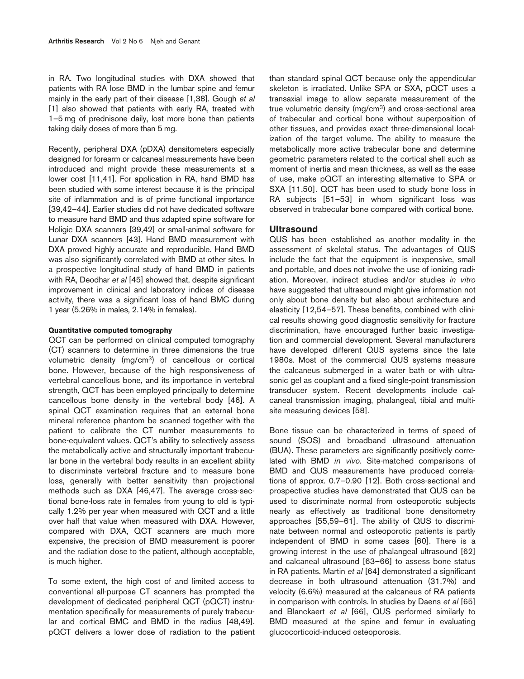in RA. Two longitudinal studies with DXA showed that patients with RA lose BMD in the lumbar spine and femur mainly in the early part of their disease [1,38]. Gough *et al* [1] also showed that patients with early RA, treated with 1–5 mg of prednisone daily, lost more bone than patients taking daily doses of more than 5 mg.

Recently, peripheral DXA (pDXA) densitometers especially designed for forearm or calcaneal measurements have been introduced and might provide these measurements at a lower cost [11,41]. For application in RA, hand BMD has been studied with some interest because it is the principal site of inflammation and is of prime functional importance [39,42–44]. Earlier studies did not have dedicated software to measure hand BMD and thus adapted spine software for Holigic DXA scanners [39,42] or small-animal software for Lunar DXA scanners [43]. Hand BMD measurement with DXA proved highly accurate and reproducible. Hand BMD was also significantly correlated with BMD at other sites. In a prospective longitudinal study of hand BMD in patients with RA, Deodhar *et al* [45] showed that, despite significant improvement in clinical and laboratory indices of disease activity, there was a significant loss of hand BMC during 1 year (5.26% in males, 2.14% in females).

## **Quantitative computed tomography**

QCT can be performed on clinical computed tomography (CT) scanners to determine in three dimensions the true volumetric density (mg/cm3) of cancellous or cortical bone. However, because of the high responsiveness of vertebral cancellous bone, and its importance in vertebral strength, QCT has been employed principally to determine cancellous bone density in the vertebral body [46]. A spinal QCT examination requires that an external bone mineral reference phantom be scanned together with the patient to calibrate the CT number measurements to bone-equivalent values. QCT's ability to selectively assess the metabolically active and structurally important trabecular bone in the vertebral body results in an excellent ability to discriminate vertebral fracture and to measure bone loss, generally with better sensitivity than projectional methods such as DXA [46,47]. The average cross-sectional bone-loss rate in females from young to old is typically 1.2% per year when measured with QCT and a little over half that value when measured with DXA. However, compared with DXA, QCT scanners are much more expensive, the precision of BMD measurement is poorer and the radiation dose to the patient, although acceptable, is much higher.

To some extent, the high cost of and limited access to conventional all-purpose CT scanners has prompted the development of dedicated peripheral QCT (pQCT) instrumentation specifically for measurements of purely trabecular and cortical BMC and BMD in the radius [48,49]. pQCT delivers a lower dose of radiation to the patient than standard spinal QCT because only the appendicular skeleton is irradiated. Unlike SPA or SXA, pQCT uses a transaxial image to allow separate measurement of the true volumetric density (mg/cm<sup>3</sup>) and cross-sectional area of trabecular and cortical bone without superposition of other tissues, and provides exact three-dimensional localization of the target volume. The ability to measure the metabolically more active trabecular bone and determine geometric parameters related to the cortical shell such as moment of inertia and mean thickness, as well as the ease of use, make pQCT an interesting alternative to SPA or SXA [11,50]. QCT has been used to study bone loss in RA subjects [51–53] in whom significant loss was observed in trabecular bone compared with cortical bone.

# **Ultrasound**

QUS has been established as another modality in the assessment of skeletal status. The advantages of QUS include the fact that the equipment is inexpensive, small and portable, and does not involve the use of ionizing radiation. Moreover, indirect studies and/or studies *in vitro* have suggested that ultrasound might give information not only about bone density but also about architecture and elasticity [12,54–57]. These benefits, combined with clinical results showing good diagnostic sensitivity for fracture discrimination, have encouraged further basic investigation and commercial development. Several manufacturers have developed different QUS systems since the late 1980s. Most of the commercial QUS systems measure the calcaneus submerged in a water bath or with ultrasonic gel as couplant and a fixed single-point transmission transducer system. Recent developments include calcaneal transmission imaging, phalangeal, tibial and multisite measuring devices [58].

Bone tissue can be characterized in terms of speed of sound (SOS) and broadband ultrasound attenuation (BUA). These parameters are significantly positively correlated with BMD *in vivo*. Site-matched comparisons of BMD and QUS measurements have produced correlations of approx. 0.7–0.90 [12]. Both cross-sectional and prospective studies have demonstrated that QUS can be used to discriminate normal from osteoporotic subjects nearly as effectively as traditional bone densitometry approaches [55,59–61]. The ability of QUS to discriminate between normal and osteoporotic patients is partly independent of BMD in some cases [60]. There is a growing interest in the use of phalangeal ultrasound [62] and calcaneal ultrasound [63–66] to assess bone status in RA patients. Martin *et al* [64] demonstrated a significant decrease in both ultrasound attenuation (31.7%) and velocity (6.6%) measured at the calcaneus of RA patients in comparison with controls. In studies by Daens *et al* [65] and Blanckaert *et al* [66], QUS performed similarly to BMD measured at the spine and femur in evaluating glucocorticoid-induced osteoporosis.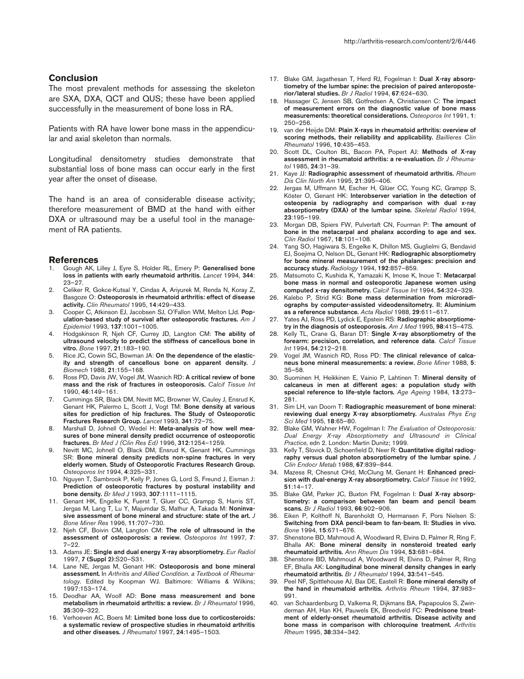## **Conclusion**

The most prevalent methods for assessing the skeleton are SXA, DXA, QCT and QUS; these have been applied successfully in the measurement of bone loss in RA.

Patients with RA have lower bone mass in the appendicular and axial skeleton than normals.

Longitudinal densitometry studies demonstrate that substantial loss of bone mass can occur early in the first year after the onset of disease.

The hand is an area of considerable disease activity; therefore measurement of BMD at the hand with either DXA or ultrasound may be a useful tool in the management of RA patients.

#### **References**

- 1. Gough AK, Lilley J, Eyre S, Holder RL, Emery P: **Generalised bone loss in patients with early rheumatoid arthritis.** *Lancet* 1994, **344**: 23–27.
- 2. Celiker R, Gokce-Kutsal Y, Cindas A, Ariyurek M, Renda N, Koray Z, Basgoze O: **Osteoporosis in rheumatoid arthritis: effect of disease activity.** *Clin Rheumatol* 1995, **14**:429–433.
- 3. Cooper C, Atkinson EJ, Jacobsen SJ, O'Fallon WM, Melton LJd. **Population-based study of survival after osteoporotic fractures.** *Am J Epidemiol* 1993, **137**:1001–1005.
- 4. Hodgskinson R, Njeh CF, Currey JD, Langton CM: **The ability of ultrasound velocity to predict the stiffness of cancellous bone in vitro.** *Bone* 1997, **21**:183–190.
- 5. Rice JC, Cowin SC, Bowman JA: **On the dependence of the elasticity and strength of cancellous bone on apparent density.** *J Biomech* 1988, **21**:155–168.
- 6. Ross PD, Davis JW, Vogel JM, Wasnich RD: **A critical review of bone mass and the risk of fractures in osteoporosis.** *Calcif Tissue Int* 1990, **46**:149–161.
- 7. Cummings SR, Black DM, Nevitt MC, Browner W, Cauley J, Ensrud K, Genant HK, Palermo L, Scott J, Vogt TM: **Bone density at various sites for prediction of hip fractures. The Study of Osteoporotic Fractures Research Group.** *Lancet* 1993, **341**:72–75.
- 8. Marshall D, Johnell O, Wedel H: **Meta-analysis of how well measures of bone mineral density predict occurrence of osteoporotic fractures.** *Br Med J (Clin Res Ed)* 1996, **312**:1254–1259.
- 9. Nevitt MC, Johnell O, Black DM, Ensrud K, Genant HK, Cummings SR: **Bone mineral density predicts non-spine fractures in very elderly women. Study of Osteoporotic Fractures Research Group.** *Osteoporos Int* 1994, **4**:325–331.
- 10. Nguyen T, Sambrook P, Kelly P, Jones G, Lord S, Freund J, Eisman J: **Prediction of osteoporotic fractures by postural instability and bone density.** *Br Med J* 1993, **307**:1111–1115.
- 11. Genant HK, Engelke K, Fuerst T, Gluer CC, Grampp S, Harris ST, Jergas M, Lang T, Lu Y, Majumdar S, Mathur A, Takada M: **Noninvasive assessment of bone mineral and structure: state of the art.** *J Bone Miner Res* 1996, **11**:707–730.
- 12. Njeh CF, Boivin CM, Langton CM: **The role of ultrasound in the assessment of osteoporosis: a review.** *Osteoporos Int* 1997, **7**:  $7 - 22$
- 13. Adams JE: **Single and dual energy X-ray absorptiometry.** *Eur Radiol* 1997, **7 (Suppl 2)**:S20–S31.
- 14. Lane NE, Jergas M, Genant HK: **Osteoporosis and bone mineral assessment.** In *Arthritis and Allied Condition. a Textbook of Rheumatology*. Edited by Koopman WJ. Baltimore: Williams & Wilkins; 1997:153–174.
- 15. Deodhar AA, Woolf AD: **Bone mass measurement and bone metabolism in rheumatoid arthritis: a review.** *Br J Rheumatol* 1996, **35**:309–322.
- 16. Verhoeven AC, Boers M: **Limited bone loss due to corticosteroids: a systematic review of prospective studies in rheumatoid arthritis and other diseases.** *J Rheumatol* 1997, **24**:1495–1503.
- 17. Blake GM, Jagathesan T, Herd RJ, Fogelman I: **Dual X-ray absorptiometry of the lumbar spine: the precision of paired anteroposterior/lateral studies.** *Br J Radiol* 1994, **67**:624–630.
- 18. Hassager C, Jensen SB, Gotfredsen A, Christiansen C: **The impact of measurement errors on the diagnostic value of bone mass measurements: theoretical considerations.** *Osteoporos Int* 1991, **1**: 250–256.
- 19. van der Heijde DM: **Plain X-rays in rheumatoid arthritis: overview of scoring methods, their reliability and applicability.** *Baillieres Clin Rheumatol* 1996, **10**:435–453.
- 20. Scott DL, Coulton BL, Bacon PA, Popert AJ: **Methods of X-ray assessment in rheumatoid arthritis: a re-evaluation.** *Br J Rheumatol* 1985, **24**:31–39.
- 21. Kaye JJ: **Radiographic assessment of rheumatoid arthritis.** *Rheum Dis Clin North Am* 1995, **21**:395–406.
- 22. Jergas M, Uffmann M, Escher H, Glüer CC, Young KC, Grampp S, Köster O, Genant HK: **Interobserver variation in the detection of osteopenia by radiography and comparison with dual x-ray absorptiometry (DXA) of the lumbar spine.** *Skeletal Radiol* 1994, **23**:195–199.
- 23. Morgan DB, Spiers FW, Pulvertaft CN, Fourman P: **The amount of bone in the metacarpal and phalanx according to age and sex.** *Clin Radiol* 1967, **18**:101–108.
- 24. Yang SO, Hagiwara S, Engelke K, Dhillon MS, Guglielmi G, Bendavid EJ, Soejima O, Nelson DL, Genant HK: **Radiographic absorptiometry for bone mineral measurement of the phalanges: precision and accuracy study.** *Radiology* 1994, **192**:857–859.
- 25. Matsumoto C, Kushida K, Yamazaki K, Imose K, Inoue T: **Metacarpal bone mass in normal and osteoporotic Japanese women using computed x-ray densitometry.** *Calcif Tissue Int* 1994, **54**:324–329.
- 26. Kalebo P, Strid KG: **Bone mass determination from microradiographs by computer-assisted videodensitometry. II: Aluminium as a reference substance.** *Acta Radiol* 1988, **29**:611–617.
- 27. Yates AJ, Ross PD, Lydick E, Epstein RS: **Radiographic absorptiometry in the diagnosis of osteoporosis.** *Am J Med* 1995, **98**:41S–47S.
- 28. Kelly TL, Crane G, Baran DT: **Single X-ray absorptiometry of the forearm: precision, correlation, and reference data**. *Calcif Tissue Int* 1994, **54**:212–218.
- 29. Vogel JM, Wasnich RD, Ross PD: **The clinical relevance of calcaneus bone mineral measurements: a review.** *Bone Miner* 1988, **5**: 35–58.
- 30. Suominen H, Heikkinen E, Vainio P, Lahtinen T: **Mineral density of calcaneus in men at different ages: a population study with special reference to life-style factors.** *Age Ageing* 1984, **13**:273– 281.
- 31. Sim LH, van Doorn T: **Radiographic measurement of bone mineral: reviewing dual energy X-ray absorptiometry.** *Australas Phys Eng Sci Med* 1995, **18**:65–80.
- 32. Blake GM, Wahner HW, Fogelman I: *The Evaluation of Osteoporosis: Dual Energy X-ray Absorptiometry and Ultrasound in Clinical Practice*, edn 2. London: Martin Dunitz; 1999.
- 33. Kelly T, Slovick D, Schoenfield D, Neer R: **Quantitative digital radiography versus dual photon absorptiometry of the lumbar spine.** *J Clin Endocr Metab* 1988, **67**:839–844.
- 34. Mazess R, Chesnut CHd, McClung M, Genant H: **Enhanced precision with dual-energy X-ray absorptiometry.** *Calcif Tissue Int* 1992, **51**:14–17.
- 35. Blake GM, Parker JC, Buxton FM, Fogelman I: **Dual X-ray absorptiometry: a comparison between fan beam and pencil beam scans.** *Br J Radiol* 1993, **66**:902–906.
- 36. Eiken P, Kolthoff N, Barenholdt O, Hermansen F, Pors Nielsen S: **Switching from DXA pencil-beam to fan-beam. II: Studies in vivo.** *Bone* 1994, **15**:671–676.
- 37. Shenstone BD, Mahmoud A, Woodward R, Elvins D, Palmer R, Ring F, Bhalla AK: **Bone mineral density in nonsteroid treated early rheumatoid arthritis.** *Ann Rheum Dis* 1994, **53**:681–684.
- 38. Shenstone BD, Mahmoud A, Woodward R, Elvins D, Palmer R, Ring EF, Bhalla AK: **Longitudinal bone mineral density changes in early rheumatoid arthritis.** *Br J Rheumatol* 1994, **33**:541–545.
- 39. Peel NF, Spittlehouse AJ, Bax DE, Eastell R: **Bone mineral density of the hand in rheumatoid arthritis.** *Arthritis Rheum* 1994, **37**:983– 991.
- 40. van Schaardenburg D, Valkema R, Dijkmans BA, Papapoulos S, Zwinderman AH, Han KH, Pauwels EK, Breedveld FC: **Prednisone treatment of elderly-onset rheumatoid arthritis. Disease activity and bone mass in comparison with chloroquine treatment.** *Arthritis Rheum* 1995, **38**:334–342.